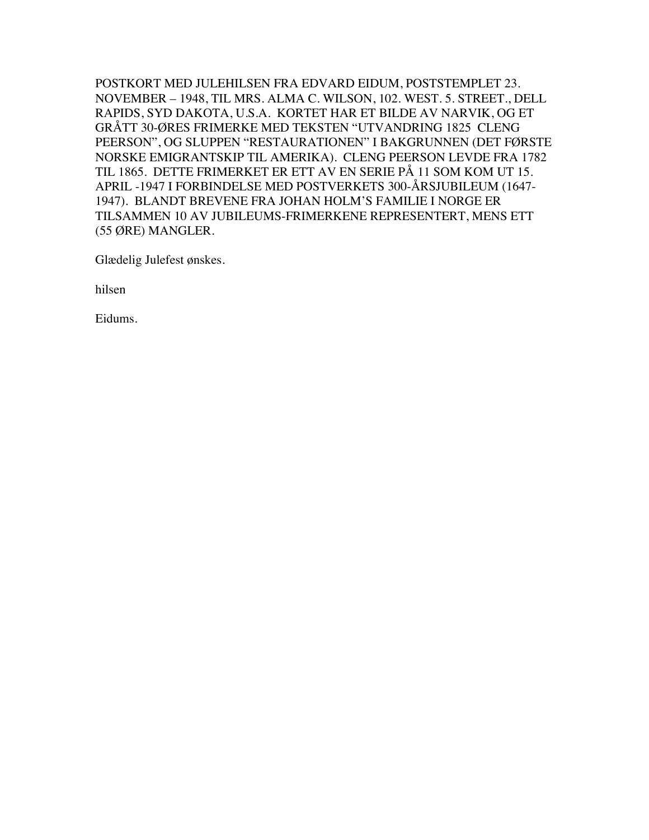POSTKORT MED JULEHILSEN FRA EDVARD EIDUM, POSTSTEMPLET 23. NOVEMBER – 1948, TIL MRS. ALMA C. WILSON, 102. WEST. 5. STREET., DELL RAPIDS, SYD DAKOTA, U.S.A. KORTET HAR ET BILDE AV NARVIK, OG ET GRÅTT 30-ØRES FRIMERKE MED TEKSTEN "UTVANDRING 1825 CLENG PEERSON", OG SLUPPEN "RESTAURATIONEN" I BAKGRUNNEN (DET FØRSTE NORSKE EMIGRANTSKIP TIL AMERIKA). CLENG PEERSON LEVDE FRA 1782 TIL 1865. DETTE FRIMERKET ER ETT AV EN SERIE PÅ 11 SOM KOM UT 15. APRIL -1947 I FORBINDELSE MED POSTVERKETS 300-ÅRSJUBILEUM (1647- 1947). BLANDT BREVENE FRA JOHAN HOLM'S FAMILIE I NORGE ER TILSAMMEN 10 AV JUBILEUMS-FRIMERKENE REPRESENTERT, MENS ETT (55 ØRE) MANGLER.

Glædelig Julefest ønskes.

hilsen

Eidums.